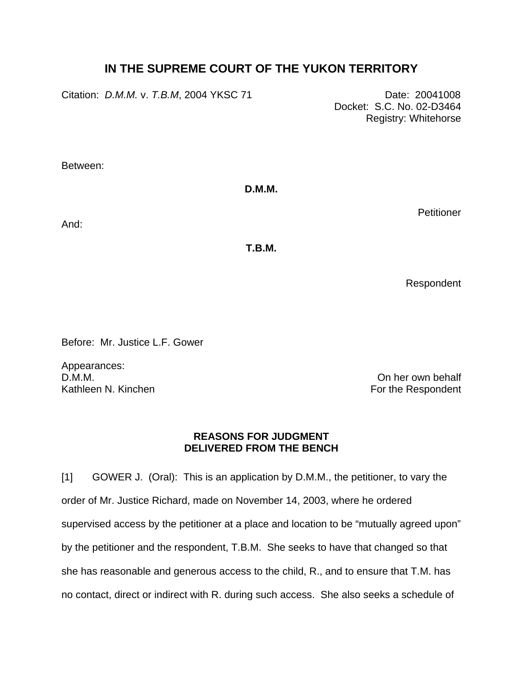# **IN THE SUPREME COURT OF THE YUKON TERRITORY**

Citation: *D.M.M.* v. *T.B.M*, 2004 YKSC 71 Date: 20041008

 Docket: S.C. No. 02-D3464 Registry: Whitehorse

Between:

**D.M.M.** 

And:

**T.B.M.**

Respondent

**Petitioner** 

Before: Mr. Justice L.F. Gower

Appearances: D.M.M. On her own behalf Kathleen N. Kinchen For the Respondent

# **REASONS FOR JUDGMENT DELIVERED FROM THE BENCH**

[1] GOWER J. (Oral): This is an application by D.M.M., the petitioner, to vary the order of Mr. Justice Richard, made on November 14, 2003, where he ordered supervised access by the petitioner at a place and location to be "mutually agreed upon" by the petitioner and the respondent, T.B.M. She seeks to have that changed so that she has reasonable and generous access to the child, R., and to ensure that T.M. has no contact, direct or indirect with R. during such access. She also seeks a schedule of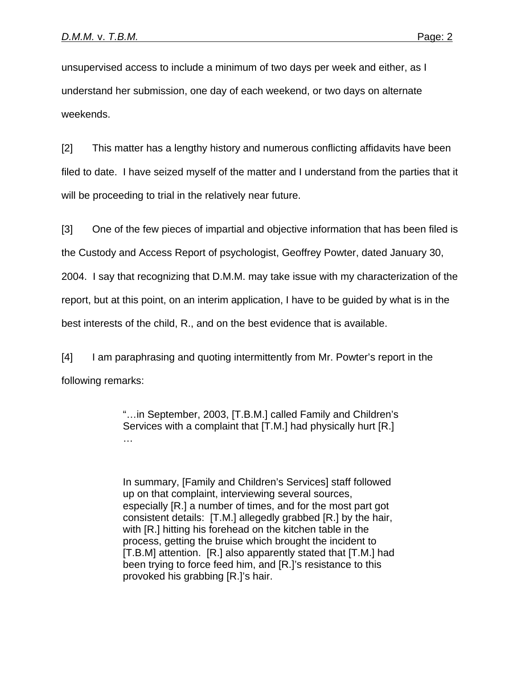unsupervised access to include a minimum of two days per week and either, as I understand her submission, one day of each weekend, or two days on alternate weekends.

[2] This matter has a lengthy history and numerous conflicting affidavits have been filed to date. I have seized myself of the matter and I understand from the parties that it will be proceeding to trial in the relatively near future.

[3] One of the few pieces of impartial and objective information that has been filed is the Custody and Access Report of psychologist, Geoffrey Powter, dated January 30, 2004. I say that recognizing that D.M.M. may take issue with my characterization of the report, but at this point, on an interim application, I have to be guided by what is in the best interests of the child, R., and on the best evidence that is available.

[4] I am paraphrasing and quoting intermittently from Mr. Powter's report in the following remarks:

> "…in September, 2003, [T.B.M.] called Family and Children's Services with a complaint that [T.M.] had physically hurt [R.] …

In summary, [Family and Children's Services] staff followed up on that complaint, interviewing several sources, especially [R.] a number of times, and for the most part got consistent details: [T.M.] allegedly grabbed [R.] by the hair, with [R.] hitting his forehead on the kitchen table in the process, getting the bruise which brought the incident to [T.B.M] attention. [R.] also apparently stated that [T.M.] had been trying to force feed him, and [R.]'s resistance to this provoked his grabbing [R.]'s hair.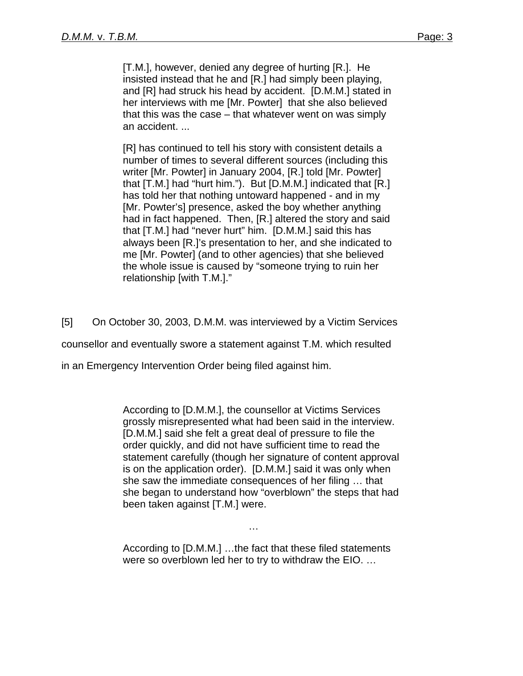[T.M.], however, denied any degree of hurting [R.]. He insisted instead that he and [R.] had simply been playing, and [R] had struck his head by accident. [D.M.M.] stated in her interviews with me [Mr. Powter] that she also believed that this was the case – that whatever went on was simply an accident. ...

[R] has continued to tell his story with consistent details a number of times to several different sources (including this writer [Mr. Powter] in January 2004, [R.] told [Mr. Powter] that [T.M.] had "hurt him."). But [D.M.M.] indicated that [R.] has told her that nothing untoward happened - and in my [Mr. Powter's] presence, asked the boy whether anything had in fact happened. Then, [R.] altered the story and said that [T.M.] had "never hurt" him. [D.M.M.] said this has always been [R.]'s presentation to her, and she indicated to me [Mr. Powter] (and to other agencies) that she believed the whole issue is caused by "someone trying to ruin her relationship [with T.M.]."

[5] On October 30, 2003, D.M.M. was interviewed by a Victim Services

counsellor and eventually swore a statement against T.M. which resulted

in an Emergency Intervention Order being filed against him.

 According to [D.M.M.], the counsellor at Victims Services grossly misrepresented what had been said in the interview. [D.M.M.] said she felt a great deal of pressure to file the order quickly, and did not have sufficient time to read the statement carefully (though her signature of content approval is on the application order). [D.M.M.] said it was only when she saw the immediate consequences of her filing … that she began to understand how "overblown" the steps that had been taken against [T.M.] were.

 According to [D.M.M.] …the fact that these filed statements were so overblown led her to try to withdraw the EIO. …

…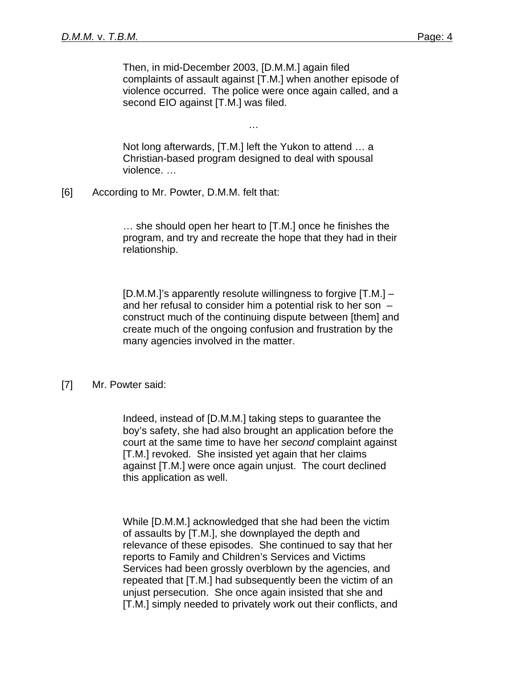Then, in mid-December 2003, [D.M.M.] again filed complaints of assault against [T.M.] when another episode of violence occurred. The police were once again called, and a second EIO against [T.M.] was filed.

 Not long afterwards, [T.M.] left the Yukon to attend … a Christian-based program designed to deal with spousal violence. …

…

[6] According to Mr. Powter, D.M.M. felt that:

… she should open her heart to [T.M.] once he finishes the program, and try and recreate the hope that they had in their relationship.

[D.M.M.]'s apparently resolute willingness to forgive [T.M.] – and her refusal to consider him a potential risk to her son – construct much of the continuing dispute between [them] and create much of the ongoing confusion and frustration by the many agencies involved in the matter.

### [7] Mr. Powter said:

 Indeed, instead of [D.M.M.] taking steps to guarantee the boy's safety, she had also brought an application before the court at the same time to have her *second* complaint against [T.M.] revoked. She insisted yet again that her claims against [T.M.] were once again unjust. The court declined this application as well.

 While [D.M.M.] acknowledged that she had been the victim of assaults by [T.M.], she downplayed the depth and relevance of these episodes. She continued to say that her reports to Family and Children's Services and Victims Services had been grossly overblown by the agencies, and repeated that [T.M.] had subsequently been the victim of an unjust persecution. She once again insisted that she and [T.M.] simply needed to privately work out their conflicts, and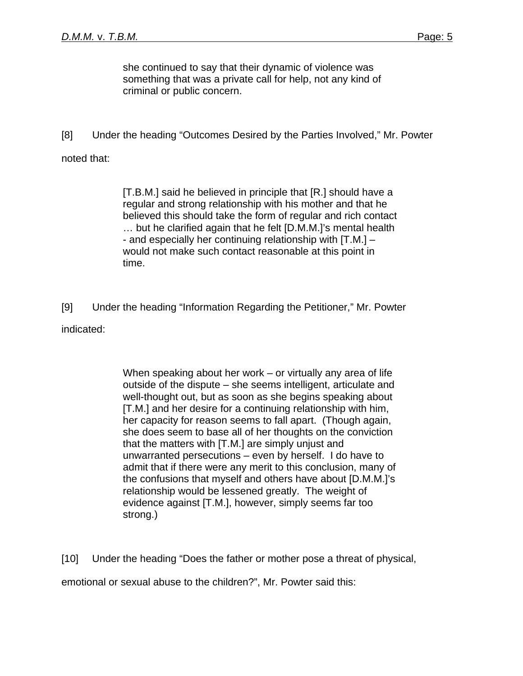she continued to say that their dynamic of violence was something that was a private call for help, not any kind of criminal or public concern.

[8] Under the heading "Outcomes Desired by the Parties Involved," Mr. Powter

# noted that:

[T.B.M.] said he believed in principle that [R.] should have a regular and strong relationship with his mother and that he believed this should take the form of regular and rich contact … but he clarified again that he felt [D.M.M.]'s mental health - and especially her continuing relationship with [T.M.] – would not make such contact reasonable at this point in time.

[9] Under the heading "Information Regarding the Petitioner," Mr. Powter indicated:

> When speaking about her work – or virtually any area of life outside of the dispute – she seems intelligent, articulate and well-thought out, but as soon as she begins speaking about [T.M.] and her desire for a continuing relationship with him, her capacity for reason seems to fall apart. (Though again, she does seem to base all of her thoughts on the conviction that the matters with [T.M.] are simply unjust and unwarranted persecutions – even by herself. I do have to admit that if there were any merit to this conclusion, many of the confusions that myself and others have about [D.M.M.]'s relationship would be lessened greatly. The weight of evidence against [T.M.], however, simply seems far too strong.)

[10] Under the heading "Does the father or mother pose a threat of physical,

emotional or sexual abuse to the children?", Mr. Powter said this: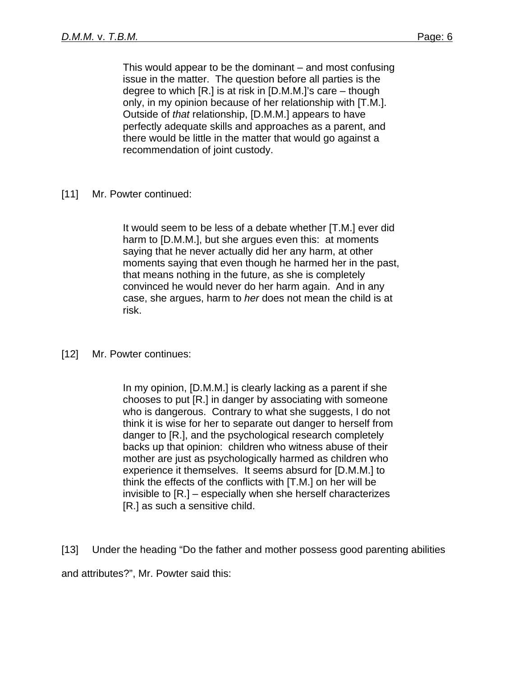This would appear to be the dominant – and most confusing issue in the matter. The question before all parties is the degree to which [R.] is at risk in [D.M.M.]'s care – though only, in my opinion because of her relationship with [T.M.]. Outside of *that* relationship, [D.M.M.] appears to have perfectly adequate skills and approaches as a parent, and there would be little in the matter that would go against a recommendation of joint custody.

[11] Mr. Powter continued:

It would seem to be less of a debate whether [T.M.] ever did harm to [D.M.M.], but she argues even this: at moments saying that he never actually did her any harm, at other moments saying that even though he harmed her in the past, that means nothing in the future, as she is completely convinced he would never do her harm again. And in any case, she argues, harm to *her* does not mean the child is at risk.

### [12] Mr. Powter continues:

In my opinion, [D.M.M.] is clearly lacking as a parent if she chooses to put [R.] in danger by associating with someone who is dangerous. Contrary to what she suggests, I do not think it is wise for her to separate out danger to herself from danger to [R.], and the psychological research completely backs up that opinion: children who witness abuse of their mother are just as psychologically harmed as children who experience it themselves. It seems absurd for [D.M.M.] to think the effects of the conflicts with [T.M.] on her will be invisible to [R.] – especially when she herself characterizes [R.] as such a sensitive child.

[13] Under the heading "Do the father and mother possess good parenting abilities and attributes?", Mr. Powter said this: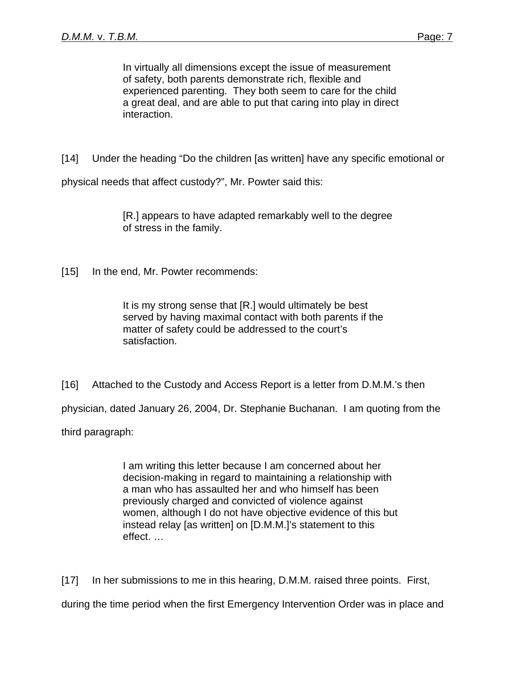In virtually all dimensions except the issue of measurement of safety, both parents demonstrate rich, flexible and experienced parenting. They both seem to care for the child a great deal, and are able to put that caring into play in direct interaction.

[14] Under the heading "Do the children [as written] have any specific emotional or

physical needs that affect custody?", Mr. Powter said this:

 [R.] appears to have adapted remarkably well to the degree of stress in the family.

[15] In the end, Mr. Powter recommends:

 It is my strong sense that [R.] would ultimately be best served by having maximal contact with both parents if the matter of safety could be addressed to the court's satisfaction.

[16] Attached to the Custody and Access Report is a letter from D.M.M.'s then

physician, dated January 26, 2004, Dr. Stephanie Buchanan. I am quoting from the

third paragraph:

 I am writing this letter because I am concerned about her decision-making in regard to maintaining a relationship with a man who has assaulted her and who himself has been previously charged and convicted of violence against women, although I do not have objective evidence of this but instead relay [as written] on [D.M.M.]'s statement to this effect. …

[17] In her submissions to me in this hearing, D.M.M. raised three points. First,

during the time period when the first Emergency Intervention Order was in place and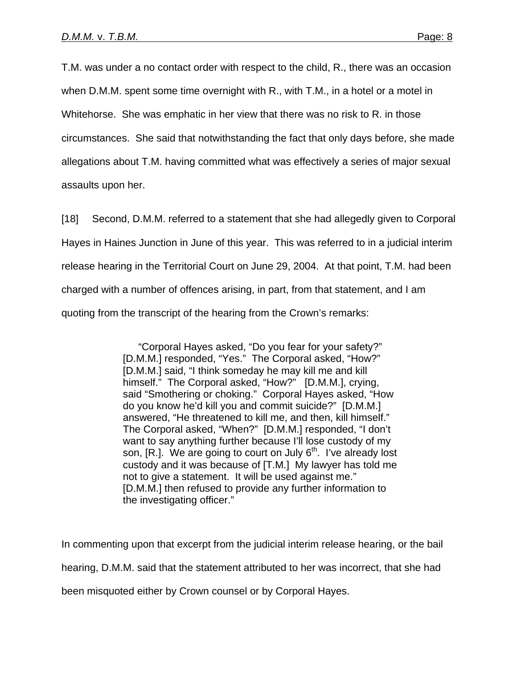T.M. was under a no contact order with respect to the child, R., there was an occasion when D.M.M. spent some time overnight with R., with T.M., in a hotel or a motel in Whitehorse. She was emphatic in her view that there was no risk to R. in those circumstances. She said that notwithstanding the fact that only days before, she made allegations about T.M. having committed what was effectively a series of major sexual assaults upon her.

[18] Second, D.M.M. referred to a statement that she had allegedly given to Corporal Hayes in Haines Junction in June of this year. This was referred to in a judicial interim release hearing in the Territorial Court on June 29, 2004. At that point, T.M. had been charged with a number of offences arising, in part, from that statement, and I am quoting from the transcript of the hearing from the Crown's remarks:

> "Corporal Hayes asked, "Do you fear for your safety?" [D.M.M.] responded, "Yes." The Corporal asked, "How?" [D.M.M.] said, "I think someday he may kill me and kill himself." The Corporal asked, "How?" [D.M.M.], crying, said "Smothering or choking." Corporal Hayes asked, "How do you know he'd kill you and commit suicide?" [D.M.M.] answered, "He threatened to kill me, and then, kill himself." The Corporal asked, "When?" [D.M.M.] responded, "I don't want to say anything further because I'll lose custody of my son,  $[R.]$ . We are going to court on July  $6<sup>th</sup>$ . I've already lost custody and it was because of [T.M.] My lawyer has told me not to give a statement. It will be used against me." [D.M.M.] then refused to provide any further information to the investigating officer."

In commenting upon that excerpt from the judicial interim release hearing, or the bail hearing, D.M.M. said that the statement attributed to her was incorrect, that she had been misquoted either by Crown counsel or by Corporal Hayes.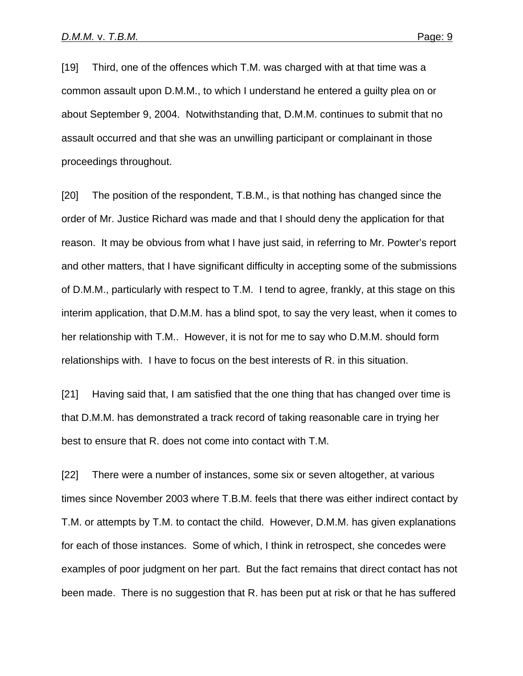[19] Third, one of the offences which T.M. was charged with at that time was a common assault upon D.M.M., to which I understand he entered a guilty plea on or about September 9, 2004. Notwithstanding that, D.M.M. continues to submit that no assault occurred and that she was an unwilling participant or complainant in those proceedings throughout.

[20] The position of the respondent, T.B.M., is that nothing has changed since the order of Mr. Justice Richard was made and that I should deny the application for that reason. It may be obvious from what I have just said, in referring to Mr. Powter's report and other matters, that I have significant difficulty in accepting some of the submissions of D.M.M., particularly with respect to T.M. I tend to agree, frankly, at this stage on this interim application, that D.M.M. has a blind spot, to say the very least, when it comes to her relationship with T.M.. However, it is not for me to say who D.M.M. should form relationships with. I have to focus on the best interests of R. in this situation.

[21] Having said that, I am satisfied that the one thing that has changed over time is that D.M.M. has demonstrated a track record of taking reasonable care in trying her best to ensure that R. does not come into contact with T.M.

[22] There were a number of instances, some six or seven altogether, at various times since November 2003 where T.B.M. feels that there was either indirect contact by T.M. or attempts by T.M. to contact the child. However, D.M.M. has given explanations for each of those instances. Some of which, I think in retrospect, she concedes were examples of poor judgment on her part. But the fact remains that direct contact has not been made. There is no suggestion that R. has been put at risk or that he has suffered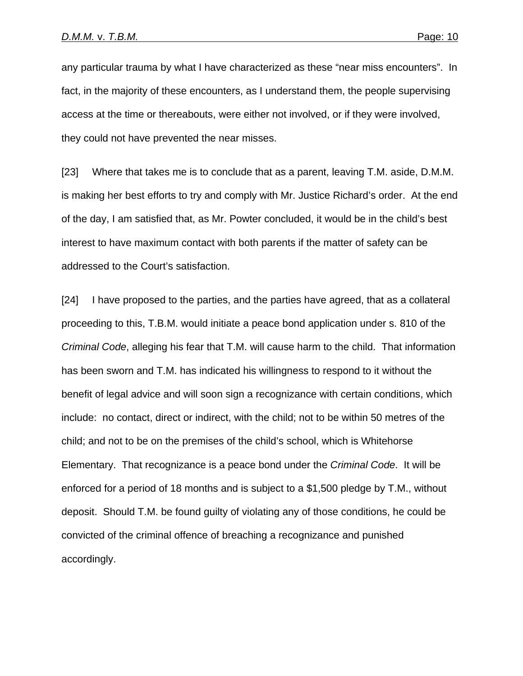any particular trauma by what I have characterized as these "near miss encounters". In fact, in the majority of these encounters, as I understand them, the people supervising access at the time or thereabouts, were either not involved, or if they were involved, they could not have prevented the near misses.

[23] Where that takes me is to conclude that as a parent, leaving T.M. aside, D.M.M. is making her best efforts to try and comply with Mr. Justice Richard's order. At the end of the day, I am satisfied that, as Mr. Powter concluded, it would be in the child's best interest to have maximum contact with both parents if the matter of safety can be addressed to the Court's satisfaction.

[24] I have proposed to the parties, and the parties have agreed, that as a collateral proceeding to this, T.B.M. would initiate a peace bond application under s. 810 of the *Criminal Code*, alleging his fear that T.M. will cause harm to the child. That information has been sworn and T.M. has indicated his willingness to respond to it without the benefit of legal advice and will soon sign a recognizance with certain conditions, which include: no contact, direct or indirect, with the child; not to be within 50 metres of the child; and not to be on the premises of the child's school, which is Whitehorse Elementary. That recognizance is a peace bond under the *Criminal Code*. It will be enforced for a period of 18 months and is subject to a \$1,500 pledge by T.M., without deposit. Should T.M. be found guilty of violating any of those conditions, he could be convicted of the criminal offence of breaching a recognizance and punished accordingly.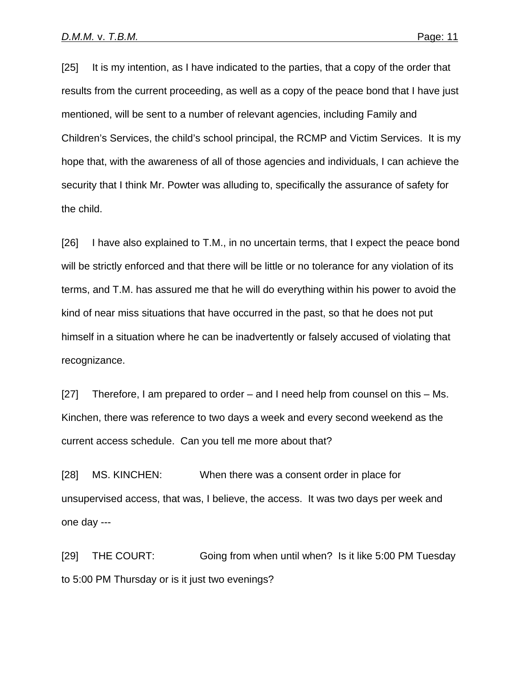[25] It is my intention, as I have indicated to the parties, that a copy of the order that results from the current proceeding, as well as a copy of the peace bond that I have just mentioned, will be sent to a number of relevant agencies, including Family and Children's Services, the child's school principal, the RCMP and Victim Services. It is my hope that, with the awareness of all of those agencies and individuals, I can achieve the security that I think Mr. Powter was alluding to, specifically the assurance of safety for the child.

[26] I have also explained to T.M., in no uncertain terms, that I expect the peace bond will be strictly enforced and that there will be little or no tolerance for any violation of its terms, and T.M. has assured me that he will do everything within his power to avoid the kind of near miss situations that have occurred in the past, so that he does not put himself in a situation where he can be inadvertently or falsely accused of violating that recognizance.

[27] Therefore, I am prepared to order – and I need help from counsel on this – Ms. Kinchen, there was reference to two days a week and every second weekend as the current access schedule. Can you tell me more about that?

[28] MS. KINCHEN: When there was a consent order in place for unsupervised access, that was, I believe, the access. It was two days per week and one day ---

[29] THE COURT: Going from when until when? Is it like 5:00 PM Tuesday to 5:00 PM Thursday or is it just two evenings?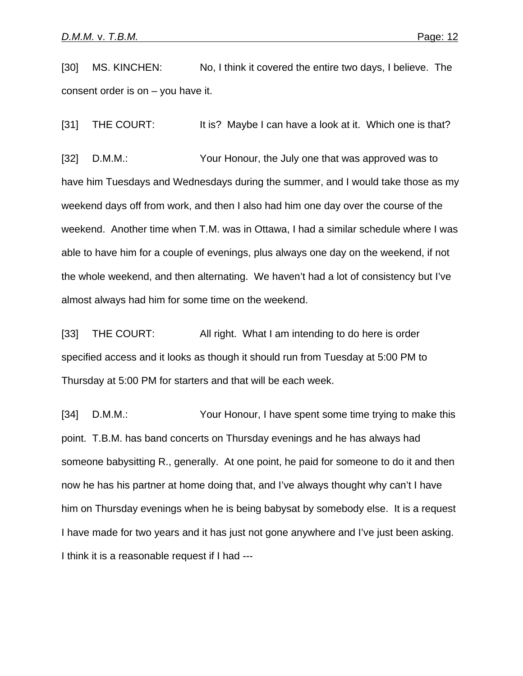[30] MS. KINCHEN: No, I think it covered the entire two days, I believe. The consent order is on – you have it.

[31] THE COURT: It is? Maybe I can have a look at it. Which one is that?

[32] D.M.M.: Your Honour, the July one that was approved was to have him Tuesdays and Wednesdays during the summer, and I would take those as my weekend days off from work, and then I also had him one day over the course of the weekend. Another time when T.M. was in Ottawa, I had a similar schedule where I was able to have him for a couple of evenings, plus always one day on the weekend, if not the whole weekend, and then alternating. We haven't had a lot of consistency but I've almost always had him for some time on the weekend.

[33] THE COURT: All right. What I am intending to do here is order specified access and it looks as though it should run from Tuesday at 5:00 PM to Thursday at 5:00 PM for starters and that will be each week.

[34] D.M.M.: Your Honour, I have spent some time trying to make this point. T.B.M. has band concerts on Thursday evenings and he has always had someone babysitting R., generally. At one point, he paid for someone to do it and then now he has his partner at home doing that, and I've always thought why can't I have him on Thursday evenings when he is being babysat by somebody else. It is a request I have made for two years and it has just not gone anywhere and I've just been asking. I think it is a reasonable request if I had ---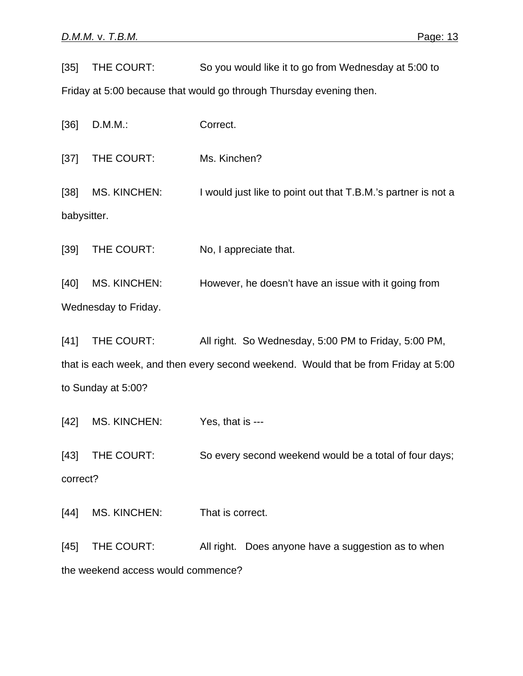[35] THE COURT: So you would like it to go from Wednesday at 5:00 to

Friday at 5:00 because that would go through Thursday evening then.

[36] D.M.M.: Correct. [37] THE COURT: Ms. Kinchen? [38] MS. KINCHEN: I would just like to point out that T.B.M.'s partner is not a babysitter. [39] THE COURT: No, I appreciate that. [40] MS. KINCHEN: However, he doesn't have an issue with it going from Wednesday to Friday. [41] THE COURT: All right. So Wednesday, 5:00 PM to Friday, 5:00 PM, that is each week, and then every second weekend. Would that be from Friday at 5:00 to Sunday at 5:00? [42] MS. KINCHEN: Yes, that is ---[43] THE COURT: So every second weekend would be a total of four days; correct?

[44] MS. KINCHEN: That is correct.

[45] THE COURT: All right. Does anyone have a suggestion as to when the weekend access would commence?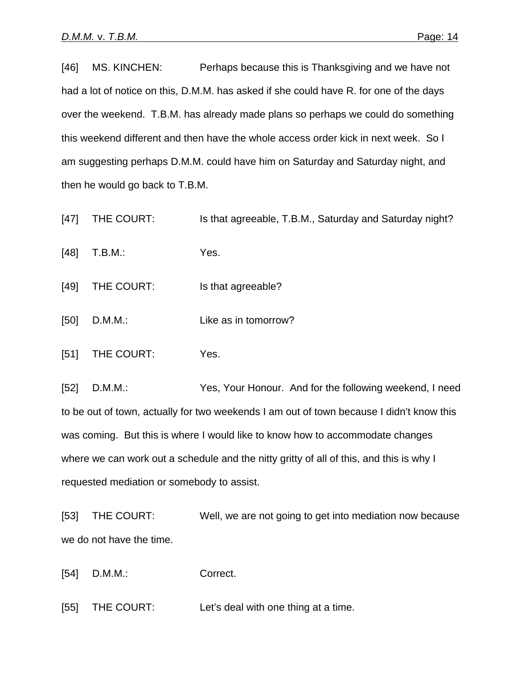[46] MS. KINCHEN: Perhaps because this is Thanksgiving and we have not had a lot of notice on this, D.M.M. has asked if she could have R. for one of the days over the weekend. T.B.M. has already made plans so perhaps we could do something this weekend different and then have the whole access order kick in next week. So I am suggesting perhaps D.M.M. could have him on Saturday and Saturday night, and then he would go back to T.B.M.

- [47] THE COURT: Is that agreeable, T.B.M., Saturday and Saturday night?
- [48] T.B.M.: Yes.
- [49] THE COURT: Is that agreeable?
- [50] D.M.M.: Like as in tomorrow?
- [51] THE COURT: Yes.

[52] D.M.M.: Yes, Your Honour. And for the following weekend, I need to be out of town, actually for two weekends I am out of town because I didn't know this was coming. But this is where I would like to know how to accommodate changes where we can work out a schedule and the nitty gritty of all of this, and this is why I requested mediation or somebody to assist.

[53] THE COURT: Well, we are not going to get into mediation now because we do not have the time.

[54] D.M.M.: Correct.

[55] THE COURT: Let's deal with one thing at a time.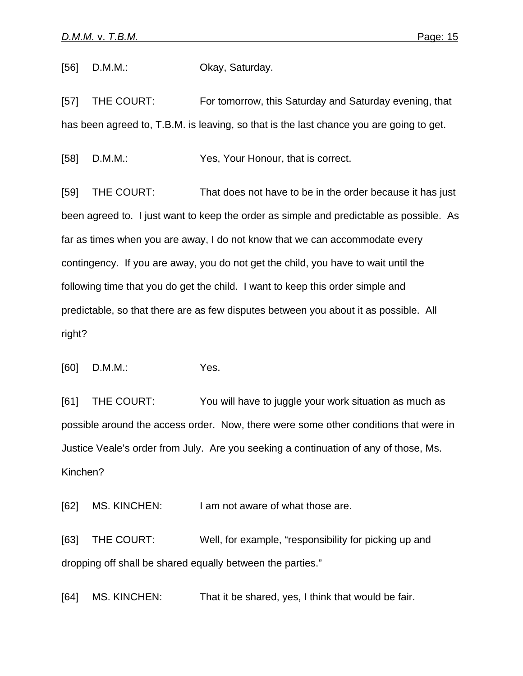[56] D.M.M.: **Okay, Saturday.** 

[57] THE COURT: For tomorrow, this Saturday and Saturday evening, that has been agreed to, T.B.M. is leaving, so that is the last chance you are going to get.

[58] D.M.M.: Yes, Your Honour, that is correct.

[59] THE COURT: That does not have to be in the order because it has just been agreed to. I just want to keep the order as simple and predictable as possible. As far as times when you are away, I do not know that we can accommodate every contingency. If you are away, you do not get the child, you have to wait until the following time that you do get the child. I want to keep this order simple and predictable, so that there are as few disputes between you about it as possible. All right?

[60] D.M.M.: Yes.

[61] THE COURT: You will have to juggle your work situation as much as possible around the access order. Now, there were some other conditions that were in Justice Veale's order from July. Are you seeking a continuation of any of those, Ms. Kinchen?

[62] MS. KINCHEN: I am not aware of what those are.

[63] THE COURT: Well, for example, "responsibility for picking up and dropping off shall be shared equally between the parties."

[64] MS. KINCHEN: That it be shared, yes, I think that would be fair.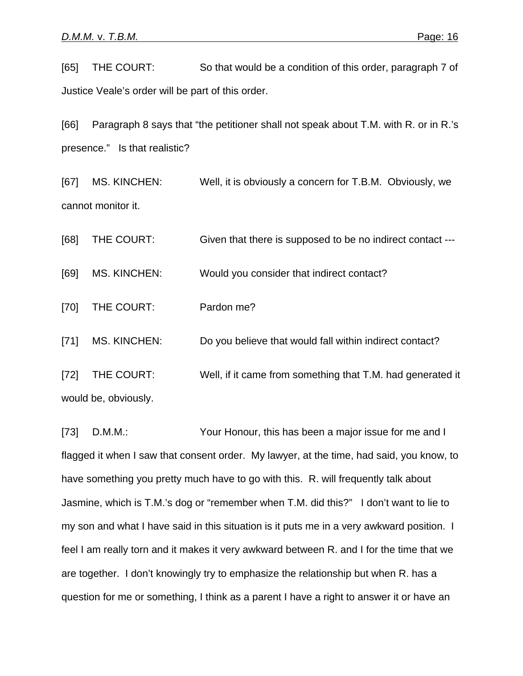[65] THE COURT: So that would be a condition of this order, paragraph 7 of Justice Veale's order will be part of this order.

[66] Paragraph 8 says that "the petitioner shall not speak about T.M. with R. or in R.'s presence." Is that realistic?

[67] MS. KINCHEN: Well, it is obviously a concern for T.B.M. Obviously, we cannot monitor it.

[68] THE COURT: Given that there is supposed to be no indirect contact ---

[69] MS. KINCHEN: Would you consider that indirect contact?

[70] THE COURT: Pardon me?

[71] MS. KINCHEN: Do you believe that would fall within indirect contact?

[72] THE COURT: Well, if it came from something that T.M. had generated it would be, obviously.

[73] D.M.M.: Your Honour, this has been a major issue for me and I flagged it when I saw that consent order. My lawyer, at the time, had said, you know, to have something you pretty much have to go with this. R. will frequently talk about Jasmine, which is T.M.'s dog or "remember when T.M. did this?" I don't want to lie to my son and what I have said in this situation is it puts me in a very awkward position. I feel I am really torn and it makes it very awkward between R. and I for the time that we are together. I don't knowingly try to emphasize the relationship but when R. has a question for me or something, I think as a parent I have a right to answer it or have an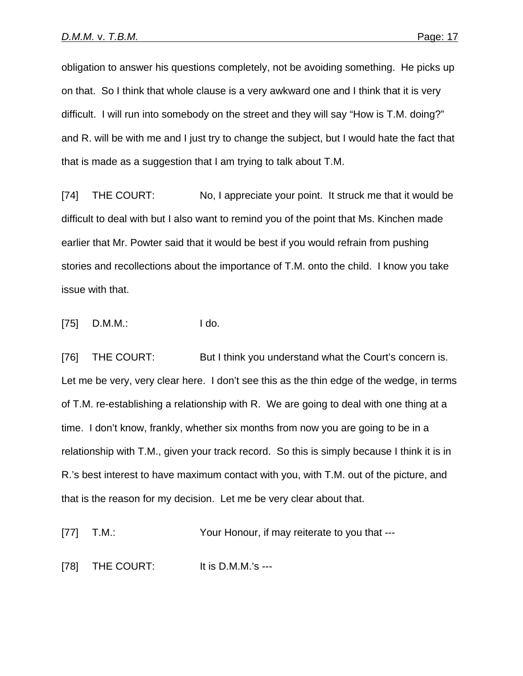obligation to answer his questions completely, not be avoiding something. He picks up on that. So I think that whole clause is a very awkward one and I think that it is very difficult. I will run into somebody on the street and they will say "How is T.M. doing?" and R. will be with me and I just try to change the subject, but I would hate the fact that that is made as a suggestion that I am trying to talk about T.M.

[74] THE COURT: No, I appreciate your point. It struck me that it would be difficult to deal with but I also want to remind you of the point that Ms. Kinchen made earlier that Mr. Powter said that it would be best if you would refrain from pushing stories and recollections about the importance of T.M. onto the child. I know you take issue with that.

[75] D.M.M.: I do.

[76] THE COURT: But I think you understand what the Court's concern is. Let me be very, very clear here. I don't see this as the thin edge of the wedge, in terms of T.M. re-establishing a relationship with R. We are going to deal with one thing at a time. I don't know, frankly, whether six months from now you are going to be in a relationship with T.M., given your track record. So this is simply because I think it is in R.'s best interest to have maximum contact with you, with T.M. out of the picture, and that is the reason for my decision. Let me be very clear about that.

[77] T.M.: Your Honour, if may reiterate to you that ---

[78] THE COURT: It is D.M.M.'s ---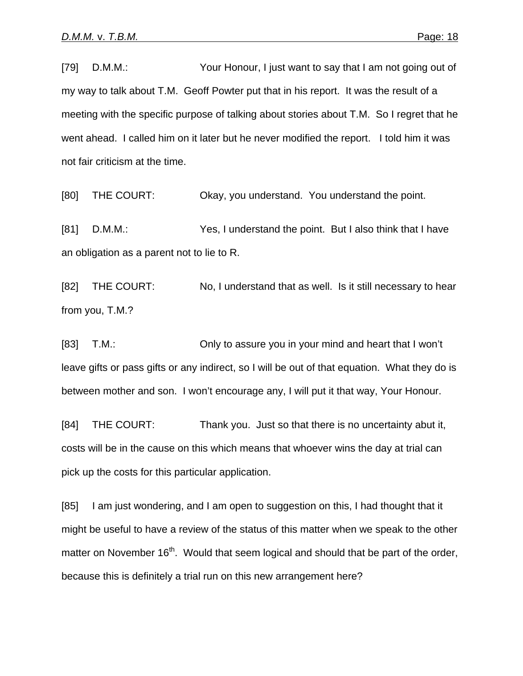[79] D.M.M.: Your Honour, I just want to say that I am not going out of my way to talk about T.M. Geoff Powter put that in his report. It was the result of a meeting with the specific purpose of talking about stories about T.M. So I regret that he went ahead. I called him on it later but he never modified the report. I told him it was not fair criticism at the time.

[80] THE COURT: Okay, you understand. You understand the point.

[81] D.M.M.: Yes, I understand the point. But I also think that I have an obligation as a parent not to lie to R.

[82] THE COURT: No, I understand that as well. Is it still necessary to hear from you, T.M.?

[83] T.M.: Only to assure you in your mind and heart that I won't leave gifts or pass gifts or any indirect, so I will be out of that equation. What they do is between mother and son. I won't encourage any, I will put it that way, Your Honour.

[84] THE COURT: Thank you. Just so that there is no uncertainty abut it, costs will be in the cause on this which means that whoever wins the day at trial can pick up the costs for this particular application.

[85] I am just wondering, and I am open to suggestion on this, I had thought that it might be useful to have a review of the status of this matter when we speak to the other matter on November 16<sup>th</sup>. Would that seem logical and should that be part of the order, because this is definitely a trial run on this new arrangement here?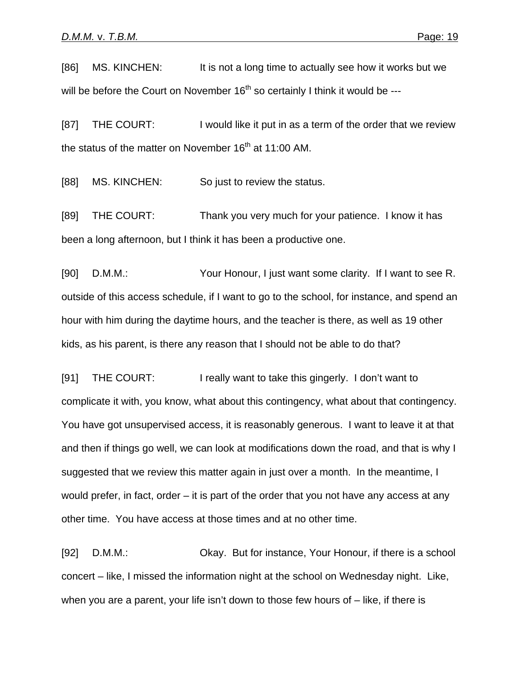[86] MS. KINCHEN: It is not a long time to actually see how it works but we will be before the Court on November  $16<sup>th</sup>$  so certainly I think it would be ---

[87] THE COURT: I would like it put in as a term of the order that we review the status of the matter on November  $16<sup>th</sup>$  at 11:00 AM.

[88] MS. KINCHEN: So just to review the status.

[89] THE COURT: Thank you very much for your patience. I know it has been a long afternoon, but I think it has been a productive one.

[90] D.M.M.: Your Honour, I just want some clarity. If I want to see R. outside of this access schedule, if I want to go to the school, for instance, and spend an hour with him during the daytime hours, and the teacher is there, as well as 19 other kids, as his parent, is there any reason that I should not be able to do that?

[91] THE COURT: I really want to take this gingerly. I don't want to complicate it with, you know, what about this contingency, what about that contingency. You have got unsupervised access, it is reasonably generous. I want to leave it at that and then if things go well, we can look at modifications down the road, and that is why I suggested that we review this matter again in just over a month. In the meantime, I would prefer, in fact, order – it is part of the order that you not have any access at any other time. You have access at those times and at no other time.

[92] D.M.M.: Okay. But for instance, Your Honour, if there is a school concert – like, I missed the information night at the school on Wednesday night. Like, when you are a parent, your life isn't down to those few hours of – like, if there is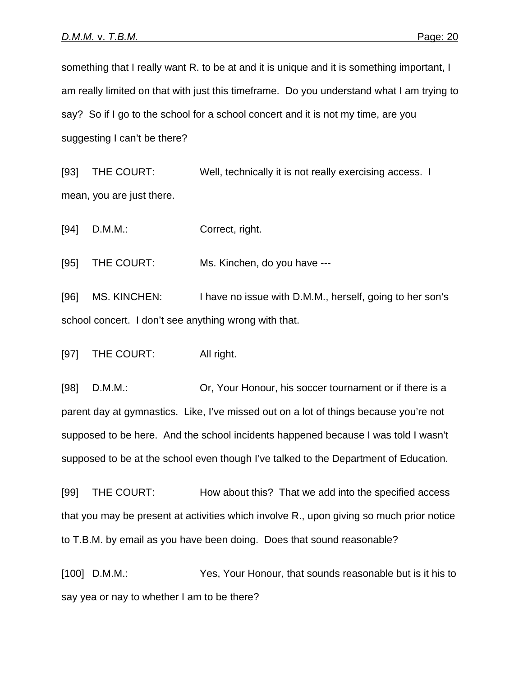something that I really want R. to be at and it is unique and it is something important, I am really limited on that with just this timeframe. Do you understand what I am trying to say? So if I go to the school for a school concert and it is not my time, are you suggesting I can't be there?

[93] THE COURT: Well, technically it is not really exercising access. I mean, you are just there.

[94] D.M.M.: Correct, right.

[95] THE COURT: Ms. Kinchen, do you have ---

[96] MS. KINCHEN: I have no issue with D.M.M., herself, going to her son's school concert. I don't see anything wrong with that.

[97] THE COURT: All right.

[98] D.M.M.: Or, Your Honour, his soccer tournament or if there is a parent day at gymnastics. Like, I've missed out on a lot of things because you're not supposed to be here. And the school incidents happened because I was told I wasn't supposed to be at the school even though I've talked to the Department of Education.

[99] THE COURT: How about this? That we add into the specified access that you may be present at activities which involve R., upon giving so much prior notice to T.B.M. by email as you have been doing. Does that sound reasonable?

[100] D.M.M.: Yes, Your Honour, that sounds reasonable but is it his to say yea or nay to whether I am to be there?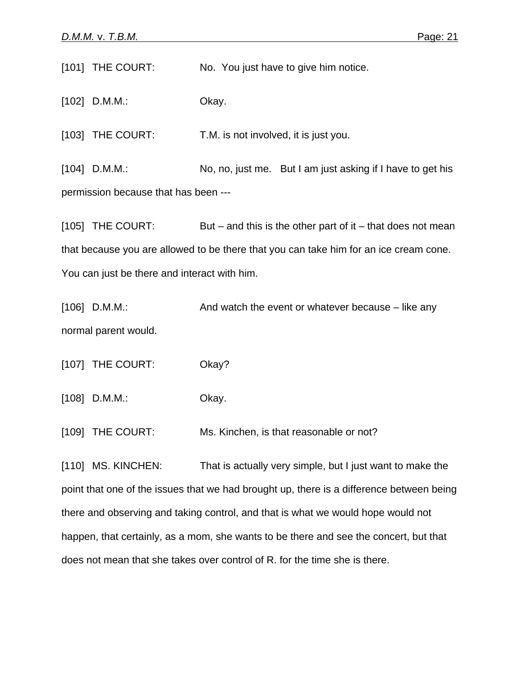[101] THE COURT: No. You just have to give him notice.

[102] D.M.M.: Okay.

[103] THE COURT: T.M. is not involved, it is just you.

[104] D.M.M.: No, no, just me. But I am just asking if I have to get his permission because that has been ---

[105] THE COURT: But – and this is the other part of it – that does not mean that because you are allowed to be there that you can take him for an ice cream cone. You can just be there and interact with him.

[106] D.M.M.: And watch the event or whatever because – like any normal parent would.

[107] THE COURT: Okay?

[108] D.M.M.: Okay.

[109] THE COURT: Ms. Kinchen, is that reasonable or not?

[110] MS. KINCHEN: That is actually very simple, but I just want to make the point that one of the issues that we had brought up, there is a difference between being there and observing and taking control, and that is what we would hope would not happen, that certainly, as a mom, she wants to be there and see the concert, but that does not mean that she takes over control of R. for the time she is there.